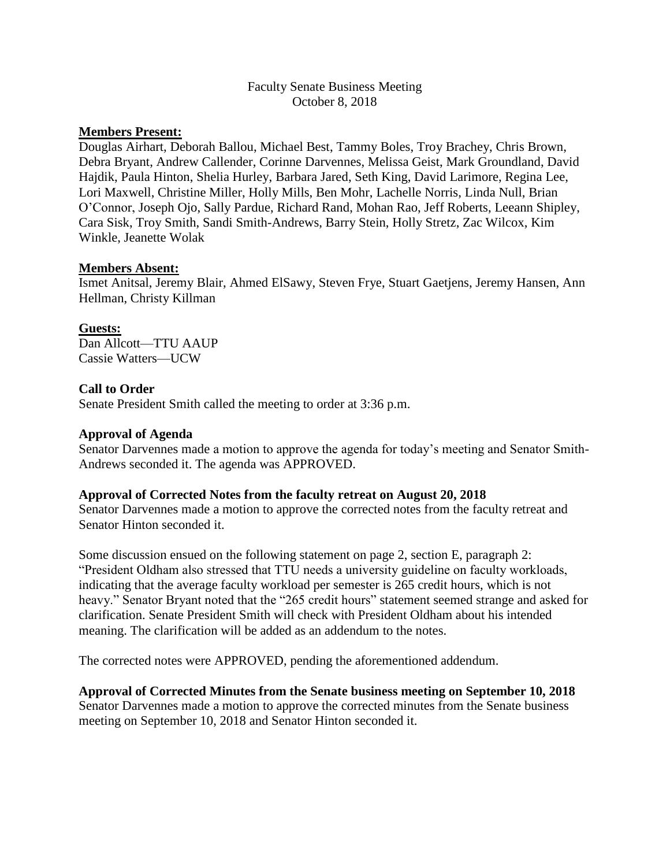## Faculty Senate Business Meeting October 8, 2018

# **Members Present:**

Douglas Airhart, Deborah Ballou, Michael Best, Tammy Boles, Troy Brachey, Chris Brown, Debra Bryant, Andrew Callender, Corinne Darvennes, Melissa Geist, Mark Groundland, David Hajdik, Paula Hinton, Shelia Hurley, Barbara Jared, Seth King, David Larimore, Regina Lee, Lori Maxwell, Christine Miller, Holly Mills, Ben Mohr, Lachelle Norris, Linda Null, Brian O'Connor, Joseph Ojo, Sally Pardue, Richard Rand, Mohan Rao, Jeff Roberts, Leeann Shipley, Cara Sisk, Troy Smith, Sandi Smith-Andrews, Barry Stein, Holly Stretz, Zac Wilcox, Kim Winkle, Jeanette Wolak

### **Members Absent:**

Ismet Anitsal, Jeremy Blair, Ahmed ElSawy, Steven Frye, Stuart Gaetjens, Jeremy Hansen, Ann Hellman, Christy Killman

### **Guests:**

Dan Allcott—TTU AAUP Cassie Watters—UCW

## **Call to Order**

Senate President Smith called the meeting to order at 3:36 p.m.

#### **Approval of Agenda**

Senator Darvennes made a motion to approve the agenda for today's meeting and Senator Smith-Andrews seconded it. The agenda was APPROVED.

#### **Approval of Corrected Notes from the faculty retreat on August 20, 2018**

Senator Darvennes made a motion to approve the corrected notes from the faculty retreat and Senator Hinton seconded it.

Some discussion ensued on the following statement on page 2, section E, paragraph 2: "President Oldham also stressed that TTU needs a university guideline on faculty workloads, indicating that the average faculty workload per semester is 265 credit hours, which is not heavy." Senator Bryant noted that the "265 credit hours" statement seemed strange and asked for clarification. Senate President Smith will check with President Oldham about his intended meaning. The clarification will be added as an addendum to the notes.

The corrected notes were APPROVED, pending the aforementioned addendum.

#### **Approval of Corrected Minutes from the Senate business meeting on September 10, 2018**

Senator Darvennes made a motion to approve the corrected minutes from the Senate business meeting on September 10, 2018 and Senator Hinton seconded it.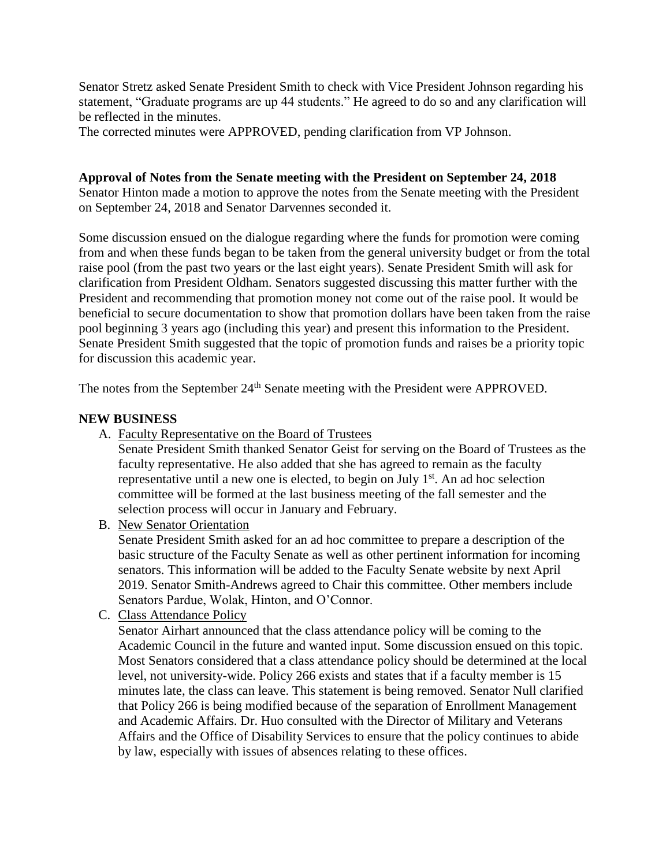Senator Stretz asked Senate President Smith to check with Vice President Johnson regarding his statement, "Graduate programs are up 44 students." He agreed to do so and any clarification will be reflected in the minutes.

The corrected minutes were APPROVED, pending clarification from VP Johnson.

**Approval of Notes from the Senate meeting with the President on September 24, 2018** Senator Hinton made a motion to approve the notes from the Senate meeting with the President on September 24, 2018 and Senator Darvennes seconded it.

Some discussion ensued on the dialogue regarding where the funds for promotion were coming from and when these funds began to be taken from the general university budget or from the total raise pool (from the past two years or the last eight years). Senate President Smith will ask for clarification from President Oldham. Senators suggested discussing this matter further with the President and recommending that promotion money not come out of the raise pool. It would be beneficial to secure documentation to show that promotion dollars have been taken from the raise pool beginning 3 years ago (including this year) and present this information to the President. Senate President Smith suggested that the topic of promotion funds and raises be a priority topic for discussion this academic year.

The notes from the September 24<sup>th</sup> Senate meeting with the President were APPROVED.

### **NEW BUSINESS**

A. Faculty Representative on the Board of Trustees

Senate President Smith thanked Senator Geist for serving on the Board of Trustees as the faculty representative. He also added that she has agreed to remain as the faculty representative until a new one is elected, to begin on July  $1<sup>st</sup>$ . An ad hoc selection committee will be formed at the last business meeting of the fall semester and the selection process will occur in January and February.

B. New Senator Orientation

Senate President Smith asked for an ad hoc committee to prepare a description of the basic structure of the Faculty Senate as well as other pertinent information for incoming senators. This information will be added to the Faculty Senate website by next April 2019. Senator Smith-Andrews agreed to Chair this committee. Other members include Senators Pardue, Wolak, Hinton, and O'Connor.

C. Class Attendance Policy

Senator Airhart announced that the class attendance policy will be coming to the Academic Council in the future and wanted input. Some discussion ensued on this topic. Most Senators considered that a class attendance policy should be determined at the local level, not university-wide. Policy 266 exists and states that if a faculty member is 15 minutes late, the class can leave. This statement is being removed. Senator Null clarified that Policy 266 is being modified because of the separation of Enrollment Management and Academic Affairs. Dr. Huo consulted with the Director of Military and Veterans Affairs and the Office of Disability Services to ensure that the policy continues to abide by law, especially with issues of absences relating to these offices.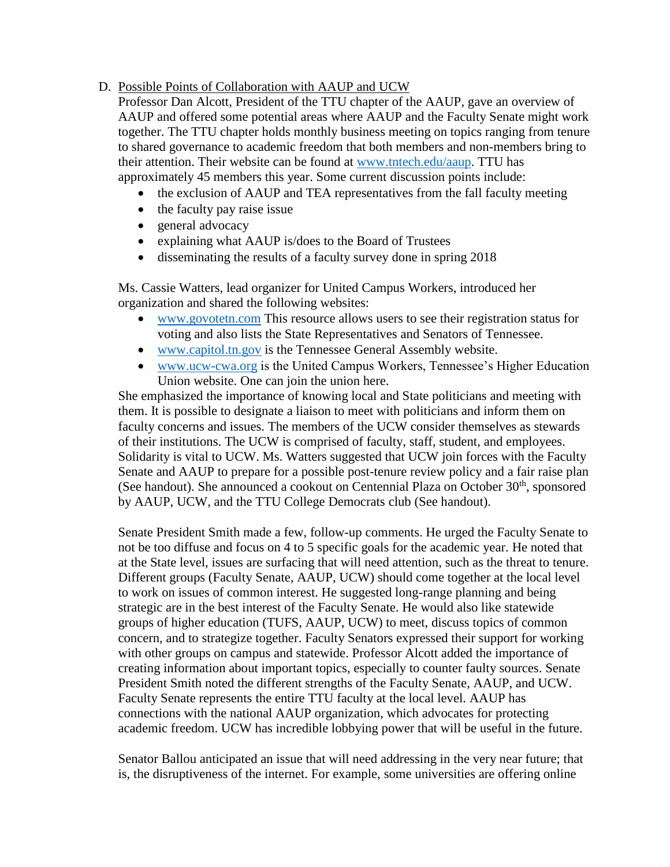# D. Possible Points of Collaboration with AAUP and UCW

Professor Dan Alcott, President of the TTU chapter of the AAUP, gave an overview of AAUP and offered some potential areas where AAUP and the Faculty Senate might work together. The TTU chapter holds monthly business meeting on topics ranging from tenure to shared governance to academic freedom that both members and non-members bring to their attention. Their website can be found at [www.tntech.edu/aaup.](http://www.tntech.edu/aaup) TTU has approximately 45 members this year. Some current discussion points include:

- the exclusion of AAUP and TEA representatives from the fall faculty meeting
- the faculty pay raise issue
- general advocacy
- explaining what AAUP is/does to the Board of Trustees
- disseminating the results of a faculty survey done in spring 2018

Ms. Cassie Watters, lead organizer for United Campus Workers, introduced her organization and shared the following websites:

- [www.govotetn.com](http://www.govotetn.com/) This resource allows users to see their registration status for voting and also lists the State Representatives and Senators of Tennessee.
- [www.capitol.tn.gov](http://www.capitol.tn.gov/) is the Tennessee General Assembly website.
- [www.ucw-cwa.org](http://www.ucw-cwa.org/) is the United Campus Workers, Tennessee's Higher Education Union website. One can join the union here.

She emphasized the importance of knowing local and State politicians and meeting with them. It is possible to designate a liaison to meet with politicians and inform them on faculty concerns and issues. The members of the UCW consider themselves as stewards of their institutions. The UCW is comprised of faculty, staff, student, and employees. Solidarity is vital to UCW. Ms. Watters suggested that UCW join forces with the Faculty Senate and AAUP to prepare for a possible post-tenure review policy and a fair raise plan (See handout). She announced a cookout on Centennial Plaza on October  $30<sup>th</sup>$ , sponsored by AAUP, UCW, and the TTU College Democrats club (See handout).

Senate President Smith made a few, follow-up comments. He urged the Faculty Senate to not be too diffuse and focus on 4 to 5 specific goals for the academic year. He noted that at the State level, issues are surfacing that will need attention, such as the threat to tenure. Different groups (Faculty Senate, AAUP, UCW) should come together at the local level to work on issues of common interest. He suggested long-range planning and being strategic are in the best interest of the Faculty Senate. He would also like statewide groups of higher education (TUFS, AAUP, UCW) to meet, discuss topics of common concern, and to strategize together. Faculty Senators expressed their support for working with other groups on campus and statewide. Professor Alcott added the importance of creating information about important topics, especially to counter faulty sources. Senate President Smith noted the different strengths of the Faculty Senate, AAUP, and UCW. Faculty Senate represents the entire TTU faculty at the local level. AAUP has connections with the national AAUP organization, which advocates for protecting academic freedom. UCW has incredible lobbying power that will be useful in the future.

Senator Ballou anticipated an issue that will need addressing in the very near future; that is, the disruptiveness of the internet. For example, some universities are offering online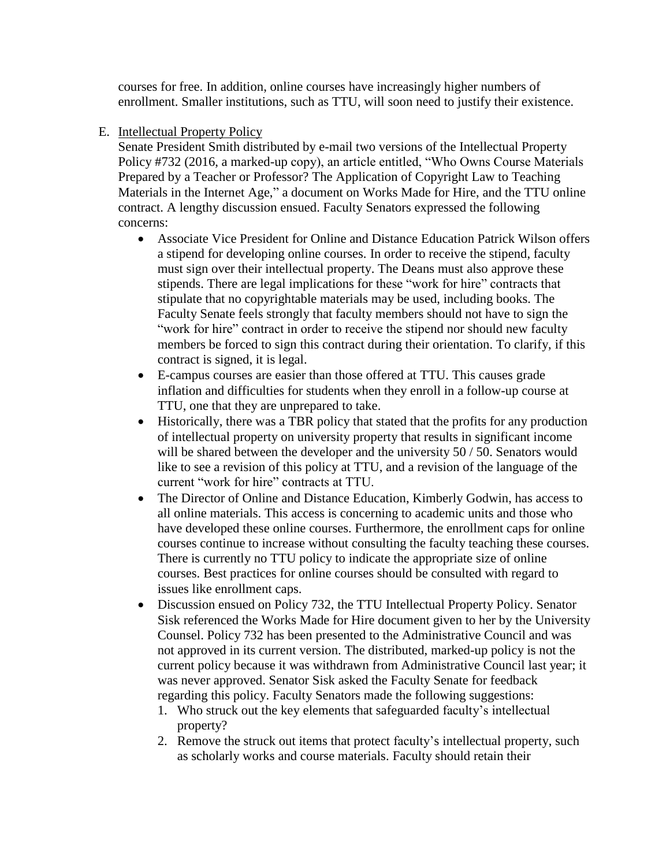courses for free. In addition, online courses have increasingly higher numbers of enrollment. Smaller institutions, such as TTU, will soon need to justify their existence.

E. Intellectual Property Policy

Senate President Smith distributed by e-mail two versions of the Intellectual Property Policy #732 (2016, a marked-up copy), an article entitled, "Who Owns Course Materials Prepared by a Teacher or Professor? The Application of Copyright Law to Teaching Materials in the Internet Age," a document on Works Made for Hire, and the TTU online contract. A lengthy discussion ensued. Faculty Senators expressed the following concerns:

- Associate Vice President for Online and Distance Education Patrick Wilson offers a stipend for developing online courses. In order to receive the stipend, faculty must sign over their intellectual property. The Deans must also approve these stipends. There are legal implications for these "work for hire" contracts that stipulate that no copyrightable materials may be used, including books. The Faculty Senate feels strongly that faculty members should not have to sign the "work for hire" contract in order to receive the stipend nor should new faculty members be forced to sign this contract during their orientation. To clarify, if this contract is signed, it is legal.
- E-campus courses are easier than those offered at TTU. This causes grade inflation and difficulties for students when they enroll in a follow-up course at TTU, one that they are unprepared to take.
- Historically, there was a TBR policy that stated that the profits for any production of intellectual property on university property that results in significant income will be shared between the developer and the university 50 / 50. Senators would like to see a revision of this policy at TTU, and a revision of the language of the current "work for hire" contracts at TTU.
- The Director of Online and Distance Education, Kimberly Godwin, has access to all online materials. This access is concerning to academic units and those who have developed these online courses. Furthermore, the enrollment caps for online courses continue to increase without consulting the faculty teaching these courses. There is currently no TTU policy to indicate the appropriate size of online courses. Best practices for online courses should be consulted with regard to issues like enrollment caps.
- Discussion ensued on Policy 732, the TTU Intellectual Property Policy. Senator Sisk referenced the Works Made for Hire document given to her by the University Counsel. Policy 732 has been presented to the Administrative Council and was not approved in its current version. The distributed, marked-up policy is not the current policy because it was withdrawn from Administrative Council last year; it was never approved. Senator Sisk asked the Faculty Senate for feedback regarding this policy. Faculty Senators made the following suggestions:
	- 1. Who struck out the key elements that safeguarded faculty's intellectual property?
	- 2. Remove the struck out items that protect faculty's intellectual property, such as scholarly works and course materials. Faculty should retain their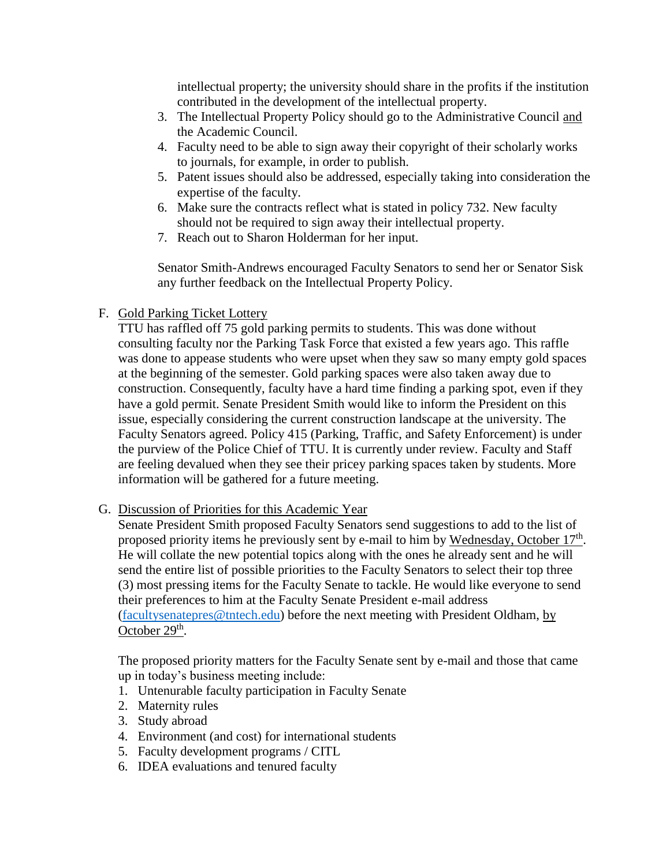intellectual property; the university should share in the profits if the institution contributed in the development of the intellectual property.

- 3. The Intellectual Property Policy should go to the Administrative Council and the Academic Council.
- 4. Faculty need to be able to sign away their copyright of their scholarly works to journals, for example, in order to publish.
- 5. Patent issues should also be addressed, especially taking into consideration the expertise of the faculty.
- 6. Make sure the contracts reflect what is stated in policy 732. New faculty should not be required to sign away their intellectual property.
- 7. Reach out to Sharon Holderman for her input.

Senator Smith-Andrews encouraged Faculty Senators to send her or Senator Sisk any further feedback on the Intellectual Property Policy.

# F. Gold Parking Ticket Lottery

TTU has raffled off 75 gold parking permits to students. This was done without consulting faculty nor the Parking Task Force that existed a few years ago. This raffle was done to appease students who were upset when they saw so many empty gold spaces at the beginning of the semester. Gold parking spaces were also taken away due to construction. Consequently, faculty have a hard time finding a parking spot, even if they have a gold permit. Senate President Smith would like to inform the President on this issue, especially considering the current construction landscape at the university. The Faculty Senators agreed. Policy 415 (Parking, Traffic, and Safety Enforcement) is under the purview of the Police Chief of TTU. It is currently under review. Faculty and Staff are feeling devalued when they see their pricey parking spaces taken by students. More information will be gathered for a future meeting.

G. Discussion of Priorities for this Academic Year

Senate President Smith proposed Faculty Senators send suggestions to add to the list of proposed priority items he previously sent by e-mail to him by Wednesday, October 17<sup>th</sup>. He will collate the new potential topics along with the ones he already sent and he will send the entire list of possible priorities to the Faculty Senators to select their top three (3) most pressing items for the Faculty Senate to tackle. He would like everyone to send their preferences to him at the Faculty Senate President e-mail address [\(facultysenatepres@tntech.edu\)](mailto:facultysenatepres@tntech.edu) before the next meeting with President Oldham, by October 29<sup>th</sup>.

The proposed priority matters for the Faculty Senate sent by e-mail and those that came up in today's business meeting include:

- 1. Untenurable faculty participation in Faculty Senate
- 2. Maternity rules
- 3. Study abroad
- 4. Environment (and cost) for international students
- 5. Faculty development programs / CITL
- 6. IDEA evaluations and tenured faculty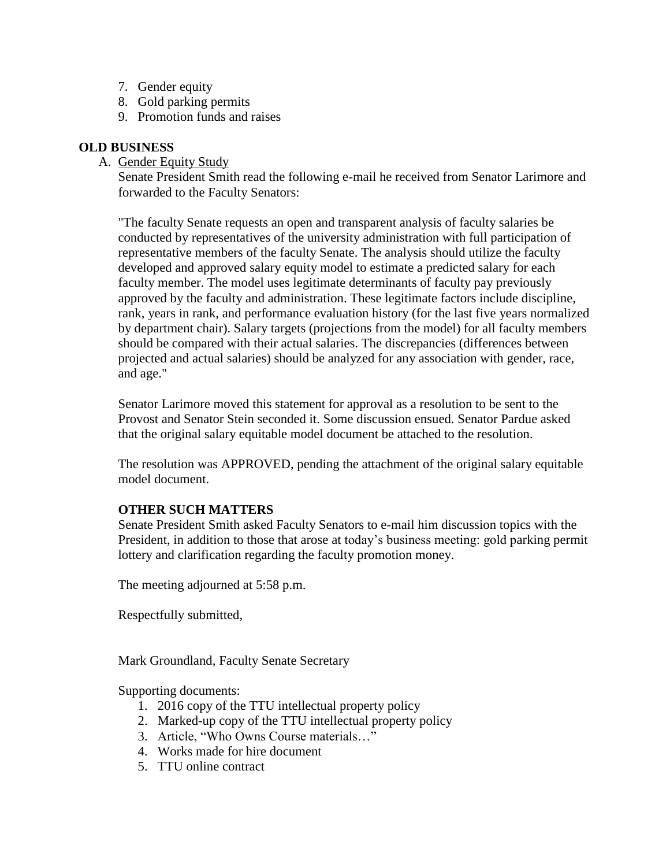- 7. Gender equity
- 8. Gold parking permits
- 9. Promotion funds and raises

# **OLD BUSINESS**

A. Gender Equity Study

Senate President Smith read the following e-mail he received from Senator Larimore and forwarded to the Faculty Senators:

"The faculty Senate requests an open and transparent analysis of faculty salaries be conducted by representatives of the university administration with full participation of representative members of the faculty Senate. The analysis should utilize the faculty developed and approved salary equity model to estimate a predicted salary for each faculty member. The model uses legitimate determinants of faculty pay previously approved by the faculty and administration. These legitimate factors include discipline, rank, years in rank, and performance evaluation history (for the last five years normalized by department chair). Salary targets (projections from the model) for all faculty members should be compared with their actual salaries. The discrepancies (differences between projected and actual salaries) should be analyzed for any association with gender, race, and age."

Senator Larimore moved this statement for approval as a resolution to be sent to the Provost and Senator Stein seconded it. Some discussion ensued. Senator Pardue asked that the original salary equitable model document be attached to the resolution.

The resolution was APPROVED, pending the attachment of the original salary equitable model document.

# **OTHER SUCH MATTERS**

Senate President Smith asked Faculty Senators to e-mail him discussion topics with the President, in addition to those that arose at today's business meeting: gold parking permit lottery and clarification regarding the faculty promotion money.

The meeting adjourned at 5:58 p.m.

Respectfully submitted,

Mark Groundland, Faculty Senate Secretary

Supporting documents:

- 1. 2016 copy of the TTU intellectual property policy
- 2. Marked-up copy of the TTU intellectual property policy
- 3. Article, "Who Owns Course materials…"
- 4. Works made for hire document
- 5. TTU online contract